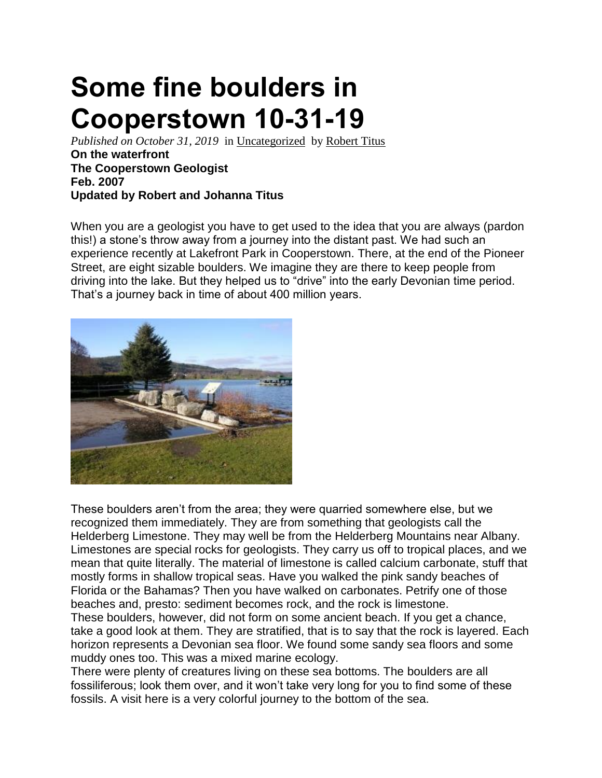## **Some fine boulders in Cooperstown 10-31-19**

*Published on October 31, 2019* in [Uncategorized](https://thecatskillgeologist.com/category/uncategorized/) by [Robert Titus](https://thecatskillgeologist.com/author/titusr/) **On the waterfront The Cooperstown Geologist Feb. 2007 Updated by Robert and Johanna Titus**

When you are a geologist you have to get used to the idea that you are always (pardon this!) a stone's throw away from a journey into the distant past. We had such an experience recently at Lakefront Park in Cooperstown. There, at the end of the Pioneer Street, are eight sizable boulders. We imagine they are there to keep people from driving into the lake. But they helped us to "drive" into the early Devonian time period. That's a journey back in time of about 400 million years.



These boulders aren't from the area; they were quarried somewhere else, but we recognized them immediately. They are from something that geologists call the Helderberg Limestone. They may well be from the Helderberg Mountains near Albany. Limestones are special rocks for geologists. They carry us off to tropical places, and we mean that quite literally. The material of limestone is called calcium carbonate, stuff that mostly forms in shallow tropical seas. Have you walked the pink sandy beaches of Florida or the Bahamas? Then you have walked on carbonates. Petrify one of those beaches and, presto: sediment becomes rock, and the rock is limestone.

These boulders, however, did not form on some ancient beach. If you get a chance, take a good look at them. They are stratified, that is to say that the rock is layered. Each horizon represents a Devonian sea floor. We found some sandy sea floors and some muddy ones too. This was a mixed marine ecology.

There were plenty of creatures living on these sea bottoms. The boulders are all fossiliferous; look them over, and it won't take very long for you to find some of these fossils. A visit here is a very colorful journey to the bottom of the sea.